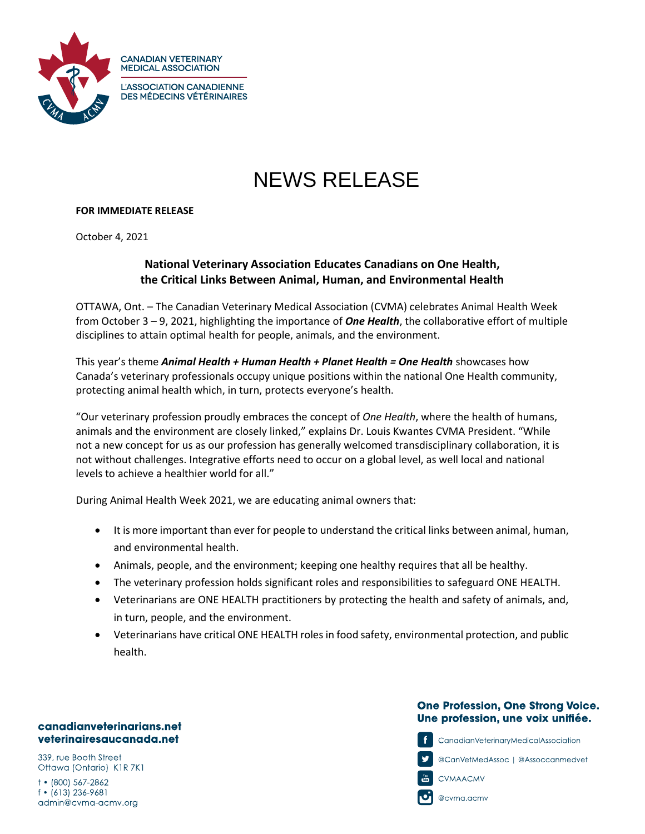

# NEWS RELEASE

## **FOR IMMEDIATE RELEASE**

**CANADIAN VETERINARY MEDICAL ASSOCIATION** 

October 4, 2021

# **National Veterinary Association Educates Canadians on One Health, the Critical Links Between Animal, Human, and Environmental Health**

OTTAWA, Ont. – The Canadian Veterinary Medical Association (CVMA) celebrates Animal Health Week from October 3 – 9, 2021, highlighting the importance of *One Health*, the collaborative effort of multiple disciplines to attain optimal health for people, animals, and the environment.

This year's theme *Animal Health + Human Health + Planet Health = One Health* showcases how Canada's veterinary professionals occupy unique positions within the national One Health community, protecting animal health which, in turn, protects everyone's health.

"Our veterinary profession proudly embraces the concept of *One Health*, where the health of humans, animals and the environment are closely linked," explains Dr. Louis Kwantes CVMA President. "While not a new concept for us as our profession has generally welcomed transdisciplinary collaboration, it is not without challenges. Integrative efforts need to occur on a global level, as well local and national levels to achieve a healthier world for all."

During Animal Health Week 2021, we are educating animal owners that:

- It is more important than ever for people to understand the critical links between animal, human, and environmental health.
- Animals, people, and the environment; keeping one healthy requires that all be healthy.
- The veterinary profession holds significant roles and responsibilities to safeguard ONE HEALTH.
- Veterinarians are ONE HEALTH practitioners by protecting the health and safety of animals, and, in turn, people, and the environment.
- Veterinarians have critical ONE HEALTH roles in food safety, environmental protection, and public health.

#### canadianveterinarians.net veterinairesaucanada.net

339, rue Booth Street Ottawa (Ontario) K1R 7K1

1 • (800) 567-2862 f • (613) 236-9681 admin@cvma-acmv.org

# **One Profession, One Strong Voice.** Une profession, une voix unifiée.

CanadianVeterinaryMedicalAssociation

@CanVetMedAssoc | @Assoccanmedvet



**CVMAACMV** 

@cvma.acmv